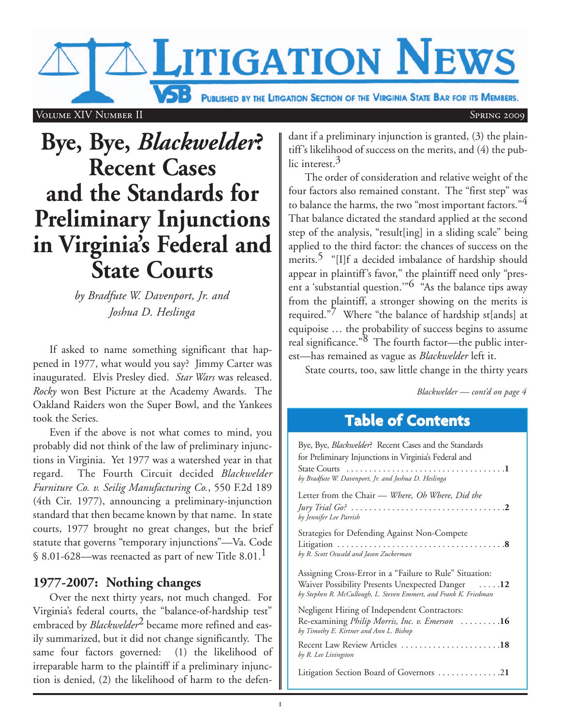**VSB** PUBLISHED BY THE LITIGATION SECTION OF THE VIRGINIA STATE BAR FOR ITS MEMBERS.

**LITIGATION NEWS** 

#### Volume XIV Number II Spring 2009 Spring 2009

# **Bye, Bye,** *Blackwelder***? Recent Cases and the Standards for Preliminary Injunctions in Virginia's Federal and State Courts**

*by Bradfute W. Davenport, Jr. and Joshua D. Heslinga*

If asked to name something significant that happened in 1977, what would you say? Jimmy Carter was inaugurated. Elvis Presley died. *Star Wars* was released. *Rocky* won Best Picture at the Academy Awards. The Oakland Raiders won the Super Bowl, and the Yankees took the Series.

Even if the above is not what comes to mind, you probably did not think of the law of preliminary injunctions in Virginia. Yet 1977 was a watershed year in that regard. The Fourth Circuit decided *Blackwelder Furniture Co. v. Seilig Manufacturing Co.*, 550 F.2d 189 (4th Cir. 1977), announcing a preliminary-injunction standard that then became known by that name. In state courts, 1977 brought no great changes, but the brief statute that governs "temporary injunctions"—Va. Code § 8.01-628—was reenacted as part of new Title 8.01.<sup>1</sup>

## **1977-2007: Nothing changes**

Over the next thirty years, not much changed. For Virginia's federal courts, the "balance-of-hardship test" embraced by *Blackwelder*<sup>2</sup> became more refined and easily summarized, but it did not change significantly. The same four factors governed: (1) the likelihood of irreparable harm to the plaintiff if a preliminary injunction is denied, (2) the likelihood of harm to the defen-

dant if a preliminary injunction is granted, (3) the plaintiff's likelihood of success on the merits, and (4) the public interest.3

The order of consideration and relative weight of the four factors also remained constant. The "first step" was to balance the harms, the two "most important factors."<sup>4</sup> That balance dictated the standard applied at the second step of the analysis, "result[ing] in a sliding scale" being applied to the third factor: the chances of success on the merits.<sup>5</sup> "[I]f a decided imbalance of hardship should appear in plaintiff's favor," the plaintiff need only "present a 'substantial question.'"6 "As the balance tips away from the plaintiff, a stronger showing on the merits is required."7 Where "the balance of hardship st[ands] at equipoise … the probability of success begins to assume real significance."8 The fourth factor—the public interest—has remained as vague as *Blackwelder* left it.

State courts, too, saw little change in the thirty years

*Blackwelder — cont'd on page 4*

# **Table of Contents**

| Bye, Bye, <i>Blackwelder</i> ? Recent Cases and the Standards                                                         |  |
|-----------------------------------------------------------------------------------------------------------------------|--|
| for Preliminary Injunctions in Virginia's Federal and                                                                 |  |
| by Bradfute W. Davenport, Jr. and Joshua D. Heslinga                                                                  |  |
| Letter from the Chair - Where, Oh Where, Did the                                                                      |  |
| by Jennifer Lee Parrish                                                                                               |  |
| Strategies for Defending Against Non-Compete                                                                          |  |
| by R. Scott Oswald and Jason Zuckerman                                                                                |  |
| Assigning Cross-Error in a "Failure to Rule" Situation:                                                               |  |
| Waiver Possibility Presents Unexpected Danger 12<br>by Stephen R. McCullough, L. Steven Emmert, and Frank K. Friedman |  |
| Negligent Hiring of Independent Contractors:                                                                          |  |
| Re-examining Philip Morris, Inc. v. Emerson 16<br>by Timothy E. Kirtner and Ann L. Bishop                             |  |
| Recent Law Review Articles 18<br>by R. Lee Livingston                                                                 |  |
| Litigation Section Board of Governors 21                                                                              |  |
|                                                                                                                       |  |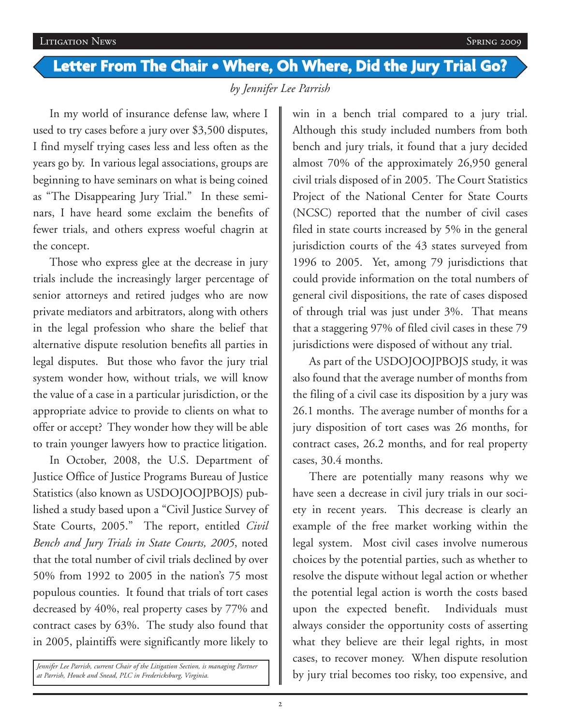# **Letter From The Chair • Where, Oh Where, Did the Jury Trial Go?**

*by Jennifer Lee Parrish*

In my world of insurance defense law, where I used to try cases before a jury over \$3,500 disputes, I find myself trying cases less and less often as the years go by. In various legal associations, groups are beginning to have seminars on what is being coined as "The Disappearing Jury Trial." In these seminars, I have heard some exclaim the benefits of fewer trials, and others express woeful chagrin at the concept.

Those who express glee at the decrease in jury trials include the increasingly larger percentage of senior attorneys and retired judges who are now private mediators and arbitrators, along with others in the legal profession who share the belief that alternative dispute resolution benefits all parties in legal disputes. But those who favor the jury trial system wonder how, without trials, we will know the value of a case in a particular jurisdiction, or the appropriate advice to provide to clients on what to offer or accept? They wonder how they will be able to train younger lawyers how to practice litigation.

In October, 2008, the U.S. Department of Justice Office of Justice Programs Bureau of Justice Statistics (also known as USDOJOOJPBOJS) published a study based upon a "Civil Justice Survey of State Courts, 2005." The report, entitled *Civil Bench and Jury Trials in State Courts, 2005*, noted that the total number of civil trials declined by over 50% from 1992 to 2005 in the nation's 75 most populous counties. It found that trials of tort cases decreased by 40%, real property cases by 77% and contract cases by 63%. The study also found that in 2005, plaintiffs were significantly more likely to

*Jennifer Lee Parrish, current Chair of the Litigation Section, is managing Partner at Parrish, Houck and Snead, PLC in Fredericksburg, Virginia.*

win in a bench trial compared to a jury trial. Although this study included numbers from both bench and jury trials, it found that a jury decided almost 70% of the approximately 26,950 general civil trials disposed of in 2005. The Court Statistics Project of the National Center for State Courts (NCSC) reported that the number of civil cases filed in state courts increased by 5% in the general jurisdiction courts of the 43 states surveyed from 1996 to 2005. Yet, among 79 jurisdictions that could provide information on the total numbers of general civil dispositions, the rate of cases disposed of through trial was just under 3%. That means that a staggering 97% of filed civil cases in these 79 jurisdictions were disposed of without any trial.

As part of the USDOJOOJPBOJS study, it was also found that the average number of months from the filing of a civil case its disposition by a jury was 26.1 months. The average number of months for a jury disposition of tort cases was 26 months, for contract cases, 26.2 months, and for real property cases, 30.4 months.

There are potentially many reasons why we have seen a decrease in civil jury trials in our society in recent years. This decrease is clearly an example of the free market working within the legal system. Most civil cases involve numerous choices by the potential parties, such as whether to resolve the dispute without legal action or whether the potential legal action is worth the costs based upon the expected benefit. Individuals must always consider the opportunity costs of asserting what they believe are their legal rights, in most cases, to recover money. When dispute resolution by jury trial becomes too risky, too expensive, and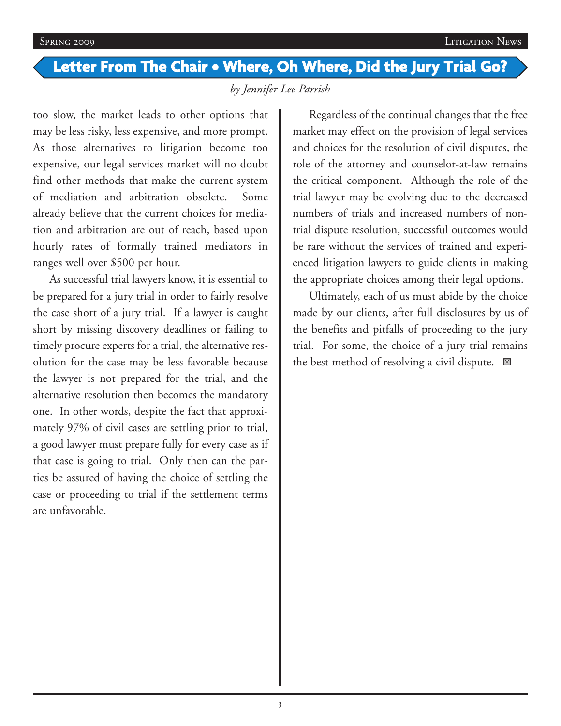# **Letter From The Chair • Where, Oh Where, Did the Jury Trial Go?**

*by Jennifer Lee Parrish*

too slow, the market leads to other options that may be less risky, less expensive, and more prompt. As those alternatives to litigation become too expensive, our legal services market will no doubt find other methods that make the current system of mediation and arbitration obsolete. Some already believe that the current choices for mediation and arbitration are out of reach, based upon hourly rates of formally trained mediators in ranges well over \$500 per hour.

As successful trial lawyers know, it is essential to be prepared for a jury trial in order to fairly resolve the case short of a jury trial. If a lawyer is caught short by missing discovery deadlines or failing to timely procure experts for a trial, the alternative resolution for the case may be less favorable because the lawyer is not prepared for the trial, and the alternative resolution then becomes the mandatory one. In other words, despite the fact that approximately 97% of civil cases are settling prior to trial, a good lawyer must prepare fully for every case as if that case is going to trial. Only then can the parties be assured of having the choice of settling the case or proceeding to trial if the settlement terms are unfavorable.

Regardless of the continual changes that the free market may effect on the provision of legal services and choices for the resolution of civil disputes, the role of the attorney and counselor-at-law remains the critical component. Although the role of the trial lawyer may be evolving due to the decreased numbers of trials and increased numbers of nontrial dispute resolution, successful outcomes would be rare without the services of trained and experienced litigation lawyers to guide clients in making the appropriate choices among their legal options.

Ultimately, each of us must abide by the choice made by our clients, after full disclosures by us of the benefits and pitfalls of proceeding to the jury trial. For some, the choice of a jury trial remains the best method of resolving a civil dispute.  $\blacksquare$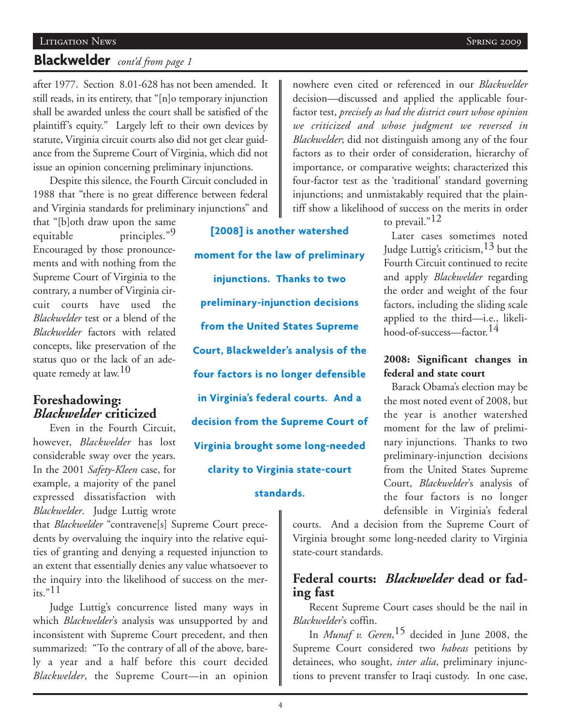#### Litigation News Spring 2009

# **Blackwelder** *cont'd from page 1*

after 1977. Section 8.01-628 has not been amended. It still reads, in its entirety, that "[n]o temporary injunction shall be awarded unless the court shall be satisfied of the plaintiff's equity." Largely left to their own devices by statute, Virginia circuit courts also did not get clear guidance from the Supreme Court of Virginia, which did not issue an opinion concerning preliminary injunctions.

Despite this silence, the Fourth Circuit concluded in 1988 that "there is no great difference between federal and Virginia standards for preliminary injunctions" and

that "[b]oth draw upon the same equitable principles."<sup>9</sup> Encouraged by those pronouncements and with nothing from the Supreme Court of Virginia to the contrary, a number of Virginia circuit courts have used the *Blackwelder* test or a blend of the *Blackwelder* factors with related concepts, like preservation of the status quo or the lack of an adequate remedy at law.<sup>10</sup>

## **Foreshadowing:** *Blackwelder* **criticized**

Even in the Fourth Circuit, however, *Blackwelder* has lost considerable sway over the years. In the 2001 *Safety-Kleen* case, for example, a majority of the panel expressed dissatisfaction with *Blackwelder*. Judge Luttig wrote

that *Blackwelder* "contravene[s] Supreme Court precedents by overvaluing the inquiry into the relative equities of granting and denying a requested injunction to an extent that essentially denies any value whatsoever to the inquiry into the likelihood of success on the mer- $\frac{1}{15}$ . 11

Judge Luttig's concurrence listed many ways in which *Blackwelder*'s analysis was unsupported by and inconsistent with Supreme Court precedent, and then summarized: "To the contrary of all of the above, barely a year and a half before this court decided *Blackwelder*, the Supreme Court—in an opinion

**[2008] is another watershed moment for the law of preliminary injunctions. Thanks to two preliminary-injunction decisions from the United States Supreme Court, Blackwelder's analysis of the four factors is no longer defensible in Virginia's federal courts. And a decision from the Supreme Court of Virginia brought some long-needed clarity to Virginia state-court**

### **standards.**

nowhere even cited or referenced in our *Blackwelder* decision—discussed and applied the applicable fourfactor test, *precisely as had the district court whose opinion we criticized and whose judgment we reversed in Blackwelder*; did not distinguish among any of the four factors as to their order of consideration, hierarchy of importance, or comparative weights; characterized this four-factor test as the 'traditional' standard governing injunctions; and unmistakably required that the plaintiff show a likelihood of success on the merits in order

to prevail."<sup>12</sup>

Later cases sometimes noted Judge Luttig's criticism,13 but the Fourth Circuit continued to recite and apply *Blackwelder* regarding the order and weight of the four factors, including the sliding scale applied to the third—i.e., likelihood-of-success—factor.14

### **2008: Significant changes in federal and state court**

Barack Obama's election may be the most noted event of 2008, but the year is another watershed moment for the law of preliminary injunctions. Thanks to two preliminary-injunction decisions from the United States Supreme Court, *Blackwelder*'s analysis of the four factors is no longer defensible in Virginia's federal

courts. And a decision from the Supreme Court of Virginia brought some long-needed clarity to Virginia state-court standards.

# **Federal courts:** *Blackwelder* **dead or fading fast**

Recent Supreme Court cases should be the nail in *Blackwelder*'s coffin.

In *Munaf v. Geren*, 15 decided in June 2008, the Supreme Court considered two *habeas* petitions by detainees, who sought, *inter alia*, preliminary injunctions to prevent transfer to Iraqi custody. In one case,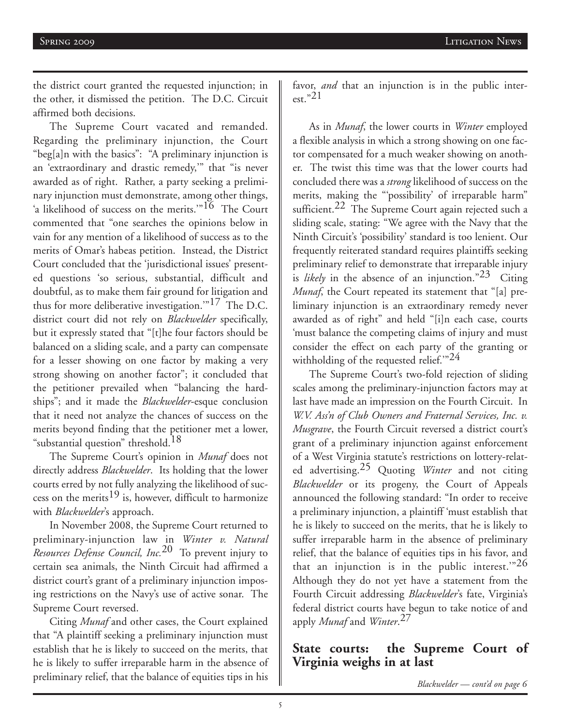the district court granted the requested injunction; in the other, it dismissed the petition. The D.C. Circuit affirmed both decisions.

The Supreme Court vacated and remanded. Regarding the preliminary injunction, the Court "beg[a]n with the basics": "A preliminary injunction is an 'extraordinary and drastic remedy,'" that "is never awarded as of right. Rather, a party seeking a preliminary injunction must demonstrate, among other things, 'a likelihood of success on the merits."<sup>16</sup> The Court commented that "one searches the opinions below in vain for any mention of a likelihood of success as to the merits of Omar's habeas petition. Instead, the District Court concluded that the 'jurisdictional issues' presented questions 'so serious, substantial, difficult and doubtful, as to make them fair ground for litigation and thus for more deliberative investigation.'"17 The D.C. district court did not rely on *Blackwelder* specifically, but it expressly stated that "[t]he four factors should be balanced on a sliding scale, and a party can compensate for a lesser showing on one factor by making a very strong showing on another factor"; it concluded that the petitioner prevailed when "balancing the hardships"; and it made the *Blackwelder*-esque conclusion that it need not analyze the chances of success on the merits beyond finding that the petitioner met a lower, "substantial question" threshold.<sup>18</sup>

The Supreme Court's opinion in *Munaf* does not directly address *Blackwelder*. Its holding that the lower courts erred by not fully analyzing the likelihood of success on the merits<sup>19</sup> is, however, difficult to harmonize with *Blackwelder*'s approach.

In November 2008, the Supreme Court returned to preliminary-injunction law in *Winter v. Natural Resources Defense Council, Inc.*20 To prevent injury to certain sea animals, the Ninth Circuit had affirmed a district court's grant of a preliminary injunction imposing restrictions on the Navy's use of active sonar. The Supreme Court reversed.

Citing *Munaf* and other cases, the Court explained that "A plaintiff seeking a preliminary injunction must establish that he is likely to succeed on the merits, that he is likely to suffer irreparable harm in the absence of preliminary relief, that the balance of equities tips in his

favor, *and* that an injunction is in the public interest." $21$ 

As in *Munaf*, the lower courts in *Winter* employed a flexible analysis in which a strong showing on one factor compensated for a much weaker showing on another. The twist this time was that the lower courts had concluded there was a *strong* likelihood of success on the merits, making the "'possibility' of irreparable harm" sufficient.<sup>22</sup> The Supreme Court again rejected such a sliding scale, stating: "We agree with the Navy that the Ninth Circuit's 'possibility' standard is too lenient. Our frequently reiterated standard requires plaintiffs seeking preliminary relief to demonstrate that irreparable injury is *likely* in the absence of an injunction."23 Citing *Munaf*, the Court repeated its statement that "[a] preliminary injunction is an extraordinary remedy never awarded as of right" and held "[i]n each case, courts 'must balance the competing claims of injury and must consider the effect on each party of the granting or withholding of the requested relief. $^{124}$ 

The Supreme Court's two-fold rejection of sliding scales among the preliminary-injunction factors may at last have made an impression on the Fourth Circuit. In *W.V. Ass'n of Club Owners and Fraternal Services, Inc. v. Musgrave*, the Fourth Circuit reversed a district court's grant of a preliminary injunction against enforcement of a West Virginia statute's restrictions on lottery-related advertising.25 Quoting *Winter* and not citing *Blackwelder* or its progeny, the Court of Appeals announced the following standard: "In order to receive a preliminary injunction, a plaintiff 'must establish that he is likely to succeed on the merits, that he is likely to suffer irreparable harm in the absence of preliminary relief, that the balance of equities tips in his favor, and that an injunction is in the public interest." $26$ Although they do not yet have a statement from the Fourth Circuit addressing *Blackwelder*'s fate, Virginia's federal district courts have begun to take notice of and apply *Munaf* and *Winter*. 27

## **State courts: the Supreme Court of Virginia weighs in at last**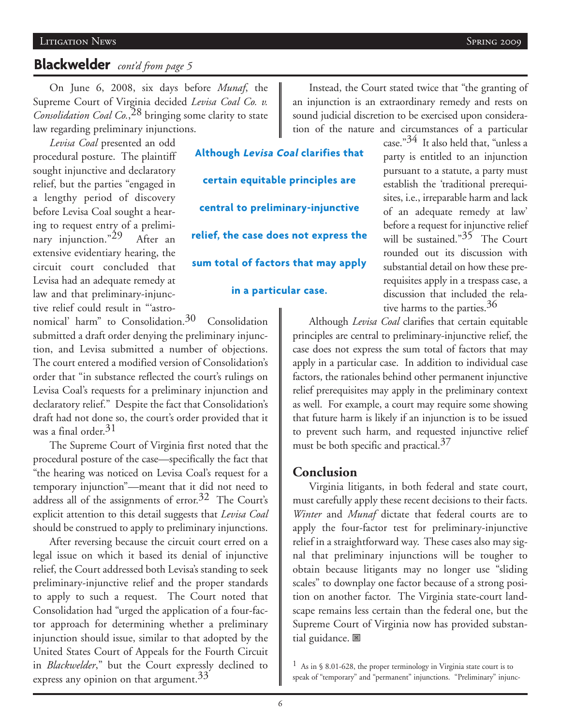# **Blackwelder** *cont'd from page 5*

On June 6, 2008, six days before *Munaf*, the Supreme Court of Virginia decided *Levisa Coal Co. v. Consolidation Coal Co.*, 28 bringing some clarity to state law regarding preliminary injunctions.

*Levisa Coal* presented an odd procedural posture. The plaintiff sought injunctive and declaratory relief, but the parties "engaged in a lengthy period of discovery before Levisa Coal sought a hearing to request entry of a preliminary injunction."<sup>29</sup> After an extensive evidentiary hearing, the circuit court concluded that Levisa had an adequate remedy at law and that preliminary-injunctive relief could result in "'astro-

**Although Levisa Coal clarifies that certain equitable principles are central to preliminary-injunctive relief, the case does not express the sum total of factors that may apply in a particular case.**

nomical' harm" to Consolidation. $30$  Consolidation submitted a draft order denying the preliminary injunction, and Levisa submitted a number of objections. The court entered a modified version of Consolidation's order that "in substance reflected the court's rulings on Levisa Coal's requests for a preliminary injunction and declaratory relief." Despite the fact that Consolidation's draft had not done so, the court's order provided that it was a final order. $31$ 

The Supreme Court of Virginia first noted that the procedural posture of the case—specifically the fact that "the hearing was noticed on Levisa Coal's request for a temporary injunction"—meant that it did not need to address all of the assignments of error.<sup>32</sup> The Court's explicit attention to this detail suggests that *Levisa Coal* should be construed to apply to preliminary injunctions.

After reversing because the circuit court erred on a legal issue on which it based its denial of injunctive relief, the Court addressed both Levisa's standing to seek preliminary-injunctive relief and the proper standards to apply to such a request. The Court noted that Consolidation had "urged the application of a four-factor approach for determining whether a preliminary injunction should issue, similar to that adopted by the United States Court of Appeals for the Fourth Circuit in *Blackwelder*," but the Court expressly declined to express any opinion on that argument.<sup>33</sup>

Instead, the Court stated twice that "the granting of an injunction is an extraordinary remedy and rests on sound judicial discretion to be exercised upon consideration of the nature and circumstances of a particular

case." $34$  It also held that, "unless a party is entitled to an injunction pursuant to a statute, a party must establish the 'traditional prerequisites, i.e., irreparable harm and lack of an adequate remedy at law' before a request for injunctive relief will be sustained." $35$  The Court rounded out its discussion with substantial detail on how these prerequisites apply in a trespass case, a discussion that included the relative harms to the parties.<sup>36</sup>

Although *Levisa Coal* clarifies that certain equitable principles are central to preliminary-injunctive relief, the case does not express the sum total of factors that may apply in a particular case. In addition to individual case factors, the rationales behind other permanent injunctive relief prerequisites may apply in the preliminary context as well. For example, a court may require some showing that future harm is likely if an injunction is to be issued to prevent such harm, and requested injunctive relief must be both specific and practical.<sup>37</sup>

#### **Conclusion**

Virginia litigants, in both federal and state court, must carefully apply these recent decisions to their facts. *Winter* and *Munaf* dictate that federal courts are to apply the four-factor test for preliminary-injunctive relief in a straightforward way. These cases also may signal that preliminary injunctions will be tougher to obtain because litigants may no longer use "sliding scales" to downplay one factor because of a strong position on another factor. The Virginia state-court landscape remains less certain than the federal one, but the Supreme Court of Virginia now has provided substantial guidance.

<sup>&</sup>lt;sup>1</sup> As in § 8.01-628, the proper terminology in Virginia state court is to speak of "temporary" and "permanent" injunctions. "Preliminary" injunc-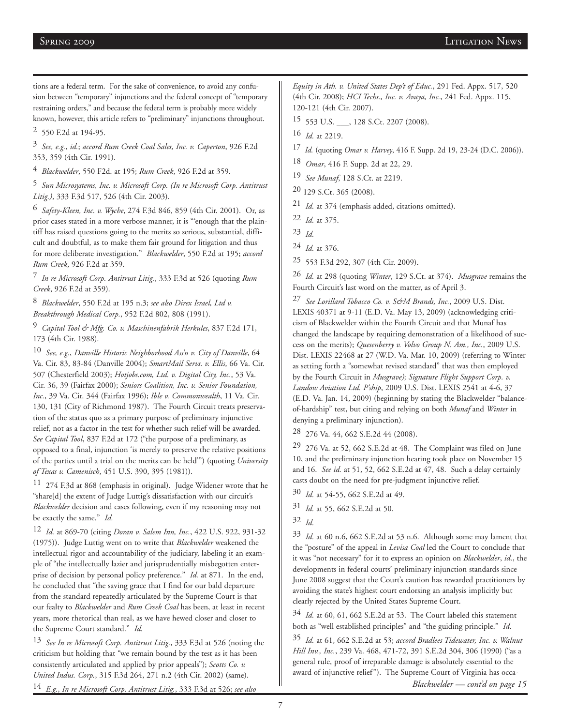tions are a federal term. For the sake of convenience, to avoid any confusion between "temporary" injunctions and the federal concept of "temporary restraining orders," and because the federal term is probably more widely known, however, this article refers to "preliminary" injunctions throughout.

2 550 F.2d at 194-95.

3 *See, e.g.*, *id.*; *accord Rum Creek Coal Sales, Inc. v. Caperton*, 926 F.2d 353, 359 (4th Cir. 1991).

4 *Blackwelder*, 550 F2d. at 195; *Rum Creek*, 926 F.2d at 359.

5 *Sun Microsystems, Inc. v. Microsoft Corp. (In re Microsoft Corp. Antitrust Litig.)*, 333 F.3d 517, 526 (4th Cir. 2003).

6 *Safety-Kleen, Inc. v. Wyche*, 274 F.3d 846, 859 (4th Cir. 2001). Or, as prior cases stated in a more verbose manner, it is "'enough that the plaintiff has raised questions going to the merits so serious, substantial, difficult and doubtful, as to make them fair ground for litigation and thus for more deliberate investigation." *Blackwelder*, 550 F.2d at 195; *accord Rum Creek*, 926 F.2d at 359.

7 *In re Microsoft Corp. Antitrust Litig.*, 333 F.3d at 526 (quoting *Rum Creek*, 926 F.2d at 359).

8 *Blackwelder*, 550 F.2d at 195 n.3; *see also Direx Israel, Ltd v. Breakthrough Medical Corp.*, 952 F.2d 802, 808 (1991).

9 *Capital Tool & Mfg. Co. v. Maschinenfabrik Herkules*, 837 F.2d 171, 173 (4th Cir. 1988).

10 *See, e.g.*, *Danville Historic Neighborhood Ass'n v. City of Danville*, 64 Va. Cir. 83, 83-84 (Danville 2004); *SmartMail Servs. v. Ellis*, 66 Va. Cir. 507 (Chesterfield 2003); *Hotjobs.com, Ltd. v. Digital City, Inc.*, 53 Va. Cir. 36, 39 (Fairfax 2000); *Seniors Coalition, Inc. v. Senior Foundation, Inc.*, 39 Va. Cir. 344 (Fairfax 1996); *Ible v. Commonwealth*, 11 Va. Cir. 130, 131 (City of Richmond 1987). The Fourth Circuit treats preservation of the status quo as a primary purpose of preliminary injunctive relief, not as a factor in the test for whether such relief will be awarded. *See Capital Tool*, 837 F.2d at 172 ("the purpose of a preliminary, as opposed to a final, injunction 'is merely to preserve the relative positions of the parties until a trial on the merits can be held'") (quoting *University of Texas v. Camenisch*, 451 U.S. 390, 395 (1981)).

11 274 F.3d at 868 (emphasis in original). Judge Widener wrote that he "share[d] the extent of Judge Luttig's dissatisfaction with our circuit's *Blackwelder* decision and cases following, even if my reasoning may not be exactly the same." *Id.*

12 *Id.* at 869-70 (citing *Doran v. Salem Inn, Inc.*, 422 U.S. 922, 931-32 (1975)). Judge Luttig went on to write that *Blackwelder* weakened the intellectual rigor and accountability of the judiciary, labeling it an example of "the intellectually lazier and jurisprudentially misbegotten enterprise of decision by personal policy preference." *Id.* at 871. In the end, he concluded that "the saving grace that I find for our bald departure from the standard repeatedly articulated by the Supreme Court is that our fealty to *Blackwelder* and *Rum Creek Coal* has been, at least in recent years, more rhetorical than real, as we have hewed closer and closer to the Supreme Court standard." *Id.*

13 *See In re Microsoft Corp. Antitrust Litig.*, 333 F.3d at 526 (noting the criticism but holding that "we remain bound by the test as it has been consistently articulated and applied by prior appeals"); *Scotts Co. v. United Indus. Corp.*, 315 F.3d 264, 271 n.2 (4th Cir. 2002) (same).

14 *E.g.*, *In re Microsoft Corp. Antitrust Litig.*, 333 F.3d at 526; *see also*

*Equity in Ath. v. United States Dep't of Educ.*, 291 Fed. Appx. 517, 520 (4th Cir. 2008); *HCI Techs., Inc. v. Avaya, Inc.*, 241 Fed. Appx. 115, 120-121 (4th Cir. 2007).

15 553 U.S. \_\_\_, 128 S.Ct. 2207 (2008).

16 *Id.* at 2219.

17 *Id.* (quoting *Omar v. Harvey*, 416 F. Supp. 2d 19, 23-24 (D.C. 2006)).

- 18 *Omar*, 416 F. Supp. 2d at 22, 29.
- 19 *See Munaf*, 128 S.Ct. at 2219.
- 20 129 S.Ct. 365 (2008).
- 21 *Id.* at 374 (emphasis added, citations omitted).
- 22 *Id.* at 375.
- 23 *Id.*
- 24 *Id.* at 376.

25 553 F.3d 292, 307 (4th Cir. 2009).

26 *Id.* at 298 (quoting *Winter*, 129 S.Ct. at 374). *Musgrave* remains the Fourth Circuit's last word on the matter, as of April 3.

27 *See Lorillard Tobacco Co. v. S&M Brands, Inc.*, 2009 U.S. Dist. LEXIS 40371 at 9-11 (E.D. Va. May 13, 2009) (acknowledging criticism of Blackwelder within the Fourth Circuit and that Munaf has changed the landscape by requiring demonstration of a likelihood of success on the merits); *Quesenberry v. Volvo Group N. Am., Inc.*, 2009 U.S. Dist. LEXIS 22468 at 27 (W.D. Va. Mar. 10, 2009) (referring to Winter as setting forth a "somewhat revised standard" that was then employed by the Fourth Circuit in *Musgrave); Signature Flight Support Corp. v. Landow Aviation Ltd. P'ship*, 2009 U.S. Dist. LEXIS 2541 at 4-6, 37 (E.D. Va. Jan. 14, 2009) (beginning by stating the Blackwelder "balanceof-hardship" test, but citing and relying on both *Munaf* and *Winter* in denying a preliminary injunction).

28 276 Va. 44, 662 S.E.2d 44 (2008).

 $29$  276 Va. at 52, 662 S.E.2d at 48. The Complaint was filed on June 10, and the preliminary injunction hearing took place on November 15 and 16. *See id.* at 51, 52, 662 S.E.2d at 47, 48. Such a delay certainly casts doubt on the need for pre-judgment injunctive relief.

30 *Id.* at 54-55, 662 S.E.2d at 49.

31 *Id.* at 55, 662 S.E.2d at 50.

33 *Id.* at 60 n.6, 662 S.E.2d at 53 n.6. Although some may lament that the "posture" of the appeal in *Levisa Coal* led the Court to conclude that it was "not necessary" for it to express an opinion on *Blackwelder*, *id.*, the developments in federal courts' preliminary injunction standards since June 2008 suggest that the Court's caution has rewarded practitioners by avoiding the state's highest court endorsing an analysis implicitly but clearly rejected by the United States Supreme Court.

34 *Id.* at 60, 61, 662 S.E.2d at 53. The Court labeled this statement both as "well established principles" and "the guiding principle." *Id.*

35 *Id.* at 61, 662 S.E.2d at 53; *accord Bradlees Tidewater, Inc. v. Walnut Hill Inv., Inc.*, 239 Va. 468, 471-72, 391 S.E.2d 304, 306 (1990) ("as a general rule, proof of irreparable damage is absolutely essential to the award of injunctive relief"). The Supreme Court of Virginia has occa-*Blackwelder — cont'd on page 15*

<sup>32</sup> *Id.*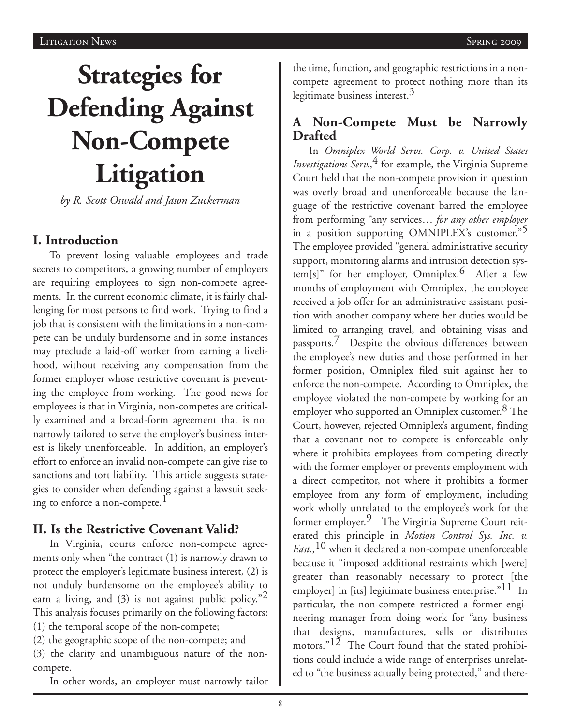# **Strategies for Defending Against Non-Compete Litigation**

*by R. Scott Oswald and Jason Zuckerman*

## **I. Introduction**

To prevent losing valuable employees and trade secrets to competitors, a growing number of employers are requiring employees to sign non-compete agreements. In the current economic climate, it is fairly challenging for most persons to find work. Trying to find a job that is consistent with the limitations in a non-compete can be unduly burdensome and in some instances may preclude a laid-off worker from earning a livelihood, without receiving any compensation from the former employer whose restrictive covenant is preventing the employee from working. The good news for employees is that in Virginia, non-competes are critically examined and a broad-form agreement that is not narrowly tailored to serve the employer's business interest is likely unenforceable. In addition, an employer's effort to enforce an invalid non-compete can give rise to sanctions and tort liability. This article suggests strategies to consider when defending against a lawsuit seeking to enforce a non-compete.<sup>1</sup>

## **II. Is the Restrictive Covenant Valid?**

In Virginia, courts enforce non-compete agreements only when "the contract (1) is narrowly drawn to protect the employer's legitimate business interest, (2) is not unduly burdensome on the employee's ability to earn a living, and (3) is not against public policy."<sup>2</sup> This analysis focuses primarily on the following factors: (1) the temporal scope of the non-compete; (2) the geographic scope of the non-compete; and

(3) the clarity and unambiguous nature of the noncompete.

In other words, an employer must narrowly tailor

the time, function, and geographic restrictions in a noncompete agreement to protect nothing more than its legitimate business interest.<sup>3</sup>

# **A Non-Compete Must be Narrowly Drafted**

In *Omniplex World Servs. Corp. v. United States Investigations Serv.*, 4 for example, the Virginia Supreme Court held that the non-compete provision in question was overly broad and unenforceable because the language of the restrictive covenant barred the employee from performing "any services… *for any other employer* in a position supporting OMNIPLEX's customer."> The employee provided "general administrative security support, monitoring alarms and intrusion detection system[s]" for her employer, Omniplex.<sup>6</sup> After a few months of employment with Omniplex, the employee received a job offer for an administrative assistant position with another company where her duties would be limited to arranging travel, and obtaining visas and passports.<sup>7</sup> Despite the obvious differences between the employee's new duties and those performed in her former position, Omniplex filed suit against her to enforce the non-compete. According to Omniplex, the employee violated the non-compete by working for an employer who supported an Omniplex customer.<sup>8</sup> The Court, however, rejected Omniplex's argument, finding that a covenant not to compete is enforceable only where it prohibits employees from competing directly with the former employer or prevents employment with a direct competitor, not where it prohibits a former employee from any form of employment, including work wholly unrelated to the employee's work for the former employer.<sup>9</sup> The Virginia Supreme Court reiterated this principle in *Motion Control Sys. Inc. v. East.,*10 when it declared a non-compete unenforceable because it "imposed additional restraints which [were] greater than reasonably necessary to protect [the employer] in [its] legitimate business enterprise."<sup>11</sup> In particular, the non-compete restricted a former engineering manager from doing work for "any business that designs, manufactures, sells or distributes motors." $12$  The Court found that the stated prohibitions could include a wide range of enterprises unrelated to "the business actually being protected," and there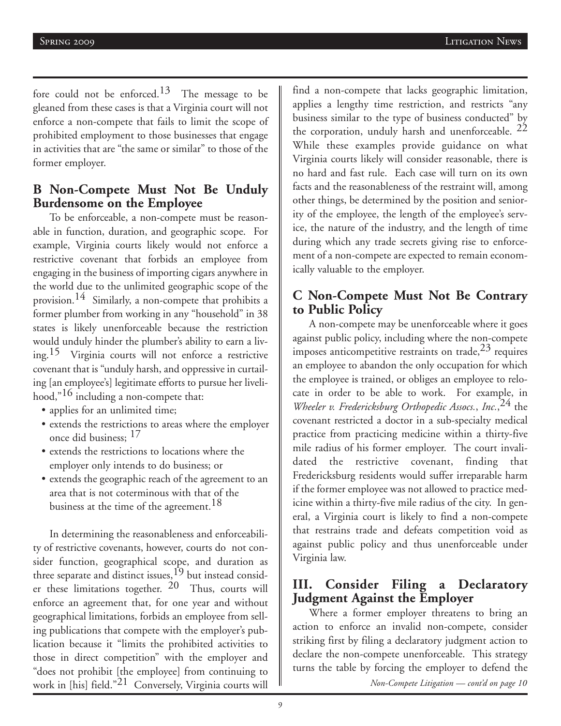fore could not be enforced.<sup>13</sup> The message to be gleaned from these cases is that a Virginia court will not enforce a non-compete that fails to limit the scope of prohibited employment to those businesses that engage in activities that are "the same or similar" to those of the former employer.

## **B Non-Compete Must Not Be Unduly Burdensome on the Employee**

To be enforceable, a non-compete must be reasonable in function, duration, and geographic scope. For example, Virginia courts likely would not enforce a restrictive covenant that forbids an employee from engaging in the business of importing cigars anywhere in the world due to the unlimited geographic scope of the provision.14 Similarly, a non-compete that prohibits a former plumber from working in any "household" in 38 states is likely unenforceable because the restriction would unduly hinder the plumber's ability to earn a living.15 Virginia courts will not enforce a restrictive covenant that is "unduly harsh, and oppressive in curtailing [an employee's] legitimate efforts to pursue her livelihood,"16 including a non-compete that:

- applies for an unlimited time;
- extends the restrictions to areas where the employer once did business; 17
- extends the restrictions to locations where the employer only intends to do business; or
- extends the geographic reach of the agreement to an area that is not coterminous with that of the business at the time of the agreement.<sup>18</sup>

In determining the reasonableness and enforceability of restrictive covenants, however, courts do not consider function, geographical scope, and duration as three separate and distinct issues,<sup>19</sup> but instead consider these limitations together.  $20$  Thus, courts will enforce an agreement that, for one year and without geographical limitations, forbids an employee from selling publications that compete with the employer's publication because it "limits the prohibited activities to those in direct competition" with the employer and "does not prohibit [the employee] from continuing to work in [his] field."21 Conversely, Virginia courts will

find a non-compete that lacks geographic limitation, applies a lengthy time restriction, and restricts "any business similar to the type of business conducted" by the corporation, unduly harsh and unenforceable.  $22$ While these examples provide guidance on what Virginia courts likely will consider reasonable, there is no hard and fast rule. Each case will turn on its own facts and the reasonableness of the restraint will, among other things, be determined by the position and seniority of the employee, the length of the employee's service, the nature of the industry, and the length of time during which any trade secrets giving rise to enforcement of a non-compete are expected to remain economically valuable to the employer.

# **C Non-Compete Must Not Be Contrary to Public Policy**

A non-compete may be unenforceable where it goes against public policy, including where the non-compete imposes anticompetitive restraints on trade,  $23$  requires an employee to abandon the only occupation for which the employee is trained, or obliges an employee to relocate in order to be able to work. For example, in *Wheeler v. Fredericksburg Orthopedic Assocs.*, *Inc.*, 24 the covenant restricted a doctor in a sub-specialty medical practice from practicing medicine within a thirty-five mile radius of his former employer. The court invalidated the restrictive covenant, finding that Fredericksburg residents would suffer irreparable harm if the former employee was not allowed to practice medicine within a thirty-five mile radius of the city. In general, a Virginia court is likely to find a non-compete that restrains trade and defeats competition void as against public policy and thus unenforceable under Virginia law.

# **III. Consider Filing a Declaratory Judgment Against the Employer**

Where a former employer threatens to bring an action to enforce an invalid non-compete, consider striking first by filing a declaratory judgment action to declare the non-compete unenforceable. This strategy turns the table by forcing the employer to defend the

*Non-Compete Litigation — cont'd on page 10*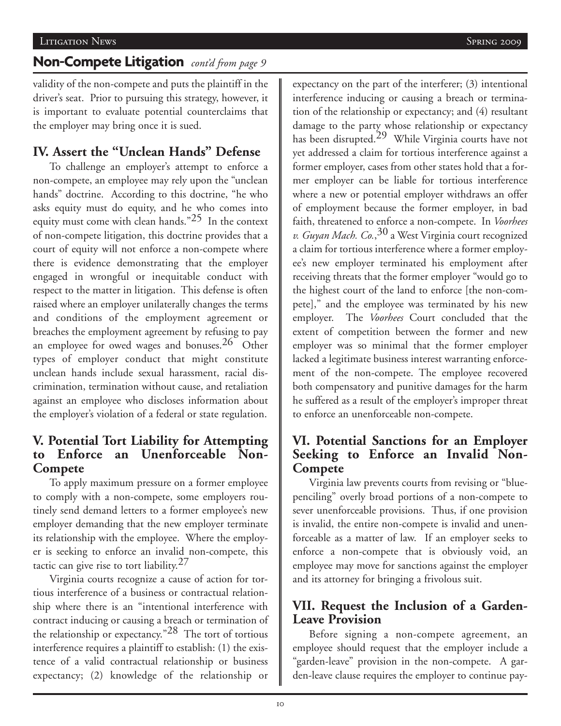#### Litigation News Spring 2009

# **Non-Compete Litigation** *cont'd from page 9*

validity of the non-compete and puts the plaintiff in the driver's seat. Prior to pursuing this strategy, however, it is important to evaluate potential counterclaims that the employer may bring once it is sued.

# **IV. Assert the "Unclean Hands" Defense**

To challenge an employer's attempt to enforce a non-compete, an employee may rely upon the "unclean hands" doctrine. According to this doctrine, "he who asks equity must do equity, and he who comes into equity must come with clean hands."25 In the context of non-compete litigation, this doctrine provides that a court of equity will not enforce a non-compete where there is evidence demonstrating that the employer engaged in wrongful or inequitable conduct with respect to the matter in litigation. This defense is often raised where an employer unilaterally changes the terms and conditions of the employment agreement or breaches the employment agreement by refusing to pay an employee for owed wages and bonuses.<sup>26</sup> Other types of employer conduct that might constitute unclean hands include sexual harassment, racial discrimination, termination without cause, and retaliation against an employee who discloses information about the employer's violation of a federal or state regulation.

# **V. Potential Tort Liability for Attempting to Enforce an Unenforceable Non-Compete**

To apply maximum pressure on a former employee to comply with a non-compete, some employers routinely send demand letters to a former employee's new employer demanding that the new employer terminate its relationship with the employee. Where the employer is seeking to enforce an invalid non-compete, this tactic can give rise to tort liability. $27$ 

Virginia courts recognize a cause of action for tortious interference of a business or contractual relationship where there is an "intentional interference with contract inducing or causing a breach or termination of the relationship or expectancy."28 The tort of tortious interference requires a plaintiff to establish: (1) the existence of a valid contractual relationship or business expectancy; (2) knowledge of the relationship or

expectancy on the part of the interferer; (3) intentional interference inducing or causing a breach or termination of the relationship or expectancy; and (4) resultant damage to the party whose relationship or expectancy has been disrupted.29 While Virginia courts have not yet addressed a claim for tortious interference against a former employer, cases from other states hold that a former employer can be liable for tortious interference where a new or potential employer withdraws an offer of employment because the former employer, in bad faith, threatened to enforce a non-compete. In *Voorhees v. Guyan Mach. Co.*, 30 a West Virginia court recognized a claim for tortious interference where a former employee's new employer terminated his employment after receiving threats that the former employer "would go to the highest court of the land to enforce [the non-compete]," and the employee was terminated by his new employer. The *Voorhees* Court concluded that the extent of competition between the former and new employer was so minimal that the former employer lacked a legitimate business interest warranting enforcement of the non-compete. The employee recovered both compensatory and punitive damages for the harm he suffered as a result of the employer's improper threat to enforce an unenforceable non-compete.

# **VI. Potential Sanctions for an Employer Seeking to Enforce an Invalid Non-Compete**

Virginia law prevents courts from revising or "bluepenciling" overly broad portions of a non-compete to sever unenforceable provisions. Thus, if one provision is invalid, the entire non-compete is invalid and unenforceable as a matter of law. If an employer seeks to enforce a non-compete that is obviously void, an employee may move for sanctions against the employer and its attorney for bringing a frivolous suit.

# **VII. Request the Inclusion of a Garden-Leave Provision**

Before signing a non-compete agreement, an employee should request that the employer include a "garden-leave" provision in the non-compete. A garden-leave clause requires the employer to continue pay-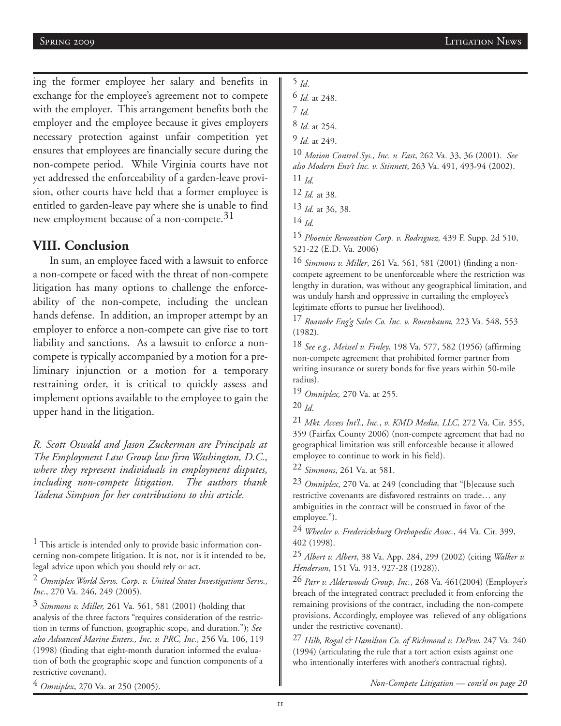ing the former employee her salary and benefits in exchange for the employee's agreement not to compete with the employer. This arrangement benefits both the employer and the employee because it gives employers necessary protection against unfair competition yet ensures that employees are financially secure during the non-compete period. While Virginia courts have not yet addressed the enforceability of a garden-leave provision, other courts have held that a former employee is entitled to garden-leave pay where she is unable to find new employment because of a non-compete.<sup>31</sup>

#### **VIII. Conclusion**

In sum, an employee faced with a lawsuit to enforce a non-compete or faced with the threat of non-compete litigation has many options to challenge the enforceability of the non-compete, including the unclean hands defense. In addition, an improper attempt by an employer to enforce a non-compete can give rise to tort liability and sanctions. As a lawsuit to enforce a noncompete is typically accompanied by a motion for a preliminary injunction or a motion for a temporary restraining order, it is critical to quickly assess and implement options available to the employee to gain the upper hand in the litigation.

*R. Scott Oswald and Jason Zuckerman are Principals at The Employment Law Group law firm Washington, D.C., where they represent individuals in employment disputes, including non-compete litigation. The authors thank Tadena Simpson for her contributions to this article.*

<sup>1</sup> This article is intended only to provide basic information concerning non-compete litigation. It is not, nor is it intended to be, legal advice upon which you should rely or act.

2 *Omniplex World Servs. Corp. v. United States Investigations Servs., Inc*., 270 Va. 246, 249 (2005).

3 *Simmons v. Miller,* 261 Va. 561, 581 (2001) (holding that analysis of the three factors "requires consideration of the restriction in terms of function, geographic scope, and duration."); *See also Advanced Marine Enters., Inc. v. PRC, Inc.*, 256 Va. 106, 119 (1998) (finding that eight-month duration informed the evaluation of both the geographic scope and function components of a restrictive covenant).

4 *Omniplex*, 270 Va. at 250 (2005).

5 *Id*.

6 *Id.* at 248.

7 *Id.*

8 *Id.* at 254.

9 *Id.* at 249.

10 *Motion Control Sys., Inc. v. East*, 262 Va. 33, 36 (2001). *See also Modern Env't Inc. v. Stinnett*, 263 Va. 491, 493-94 (2002). 11 *Id.*

12 *Id.* at 38.

13 *Id.* at 36, 38.

14 *Id.*

15 *Phoenix Renovation Corp. v. Rodriguez,* 439 F. Supp. 2d 510, 521-22 (E.D. Va. 2006)

16 *Simmons v. Miller*, 261 Va. 561, 581 (2001) (finding a noncompete agreement to be unenforceable where the restriction was lengthy in duration, was without any geographical limitation, and was unduly harsh and oppressive in curtailing the employee's legitimate efforts to pursue her livelihood).

17 *Roanoke Eng'g Sales Co. Inc. v. Rosenbaum,* 223 Va. 548, 553 (1982).

18 *See e.g., Meissel v. Finley*, 198 Va. 577, 582 (1956) (affirming non-compete agreement that prohibited former partner from writing insurance or surety bonds for five years within 50-mile radius).

19 *Omniplex,* 270 Va. at 255.

20 *Id*.

21 *Mkt. Access Int'l., Inc.*, *v. KMD Media, LLC,* 272 Va. Cir. 355, 359 (Fairfax County 2006) (non-compete agreement that had no geographical limitation was still enforceable because it allowed employee to continue to work in his field).

22 *Simmons*, 261 Va. at 581.

23 *Omniplex*, 270 Va. at 249 (concluding that "[b]ecause such restrictive covenants are disfavored restraints on trade… any ambiguities in the contract will be construed in favor of the employee.").

24 *Wheeler v. Fredericksburg Orthopedic Assoc.*, 44 Va. Cir. 399, 402 (1998).

25 *Albert v. Albert*, 38 Va. App. 284, 299 (2002) (citing *Walker v. Henderson*, 151 Va. 913, 927-28 (1928)).

26 *Parr v. Alderwoods Group, Inc.*, 268 Va. 461(2004) (Employer's breach of the integrated contract precluded it from enforcing the remaining provisions of the contract, including the non-compete provisions. Accordingly, employee was relieved of any obligations under the restrictive covenant).

27 *Hilb, Rogal & Hamilton Co. of Richmond v. DePew*, 247 Va. 240 (1994) (articulating the rule that a tort action exists against one who intentionally interferes with another's contractual rights).

*Non-Compete Litigation — cont'd on page 20*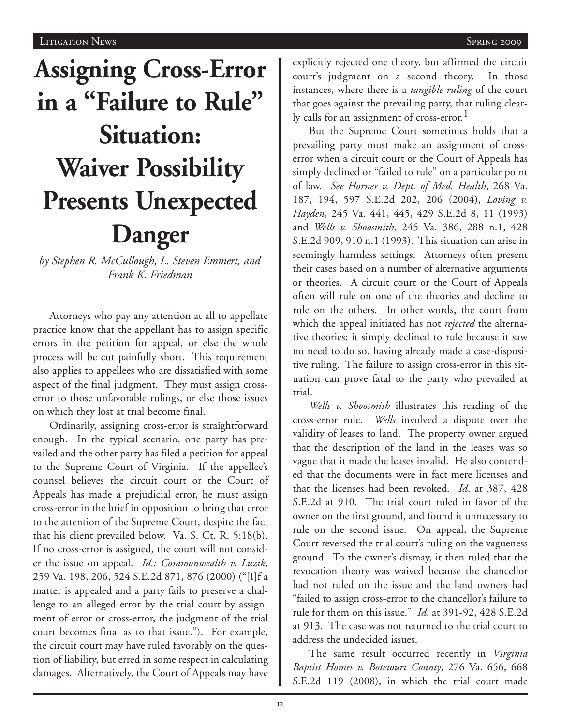# **Assigning Cross-Error in a "Failure to Rule" Situation: Waiver Possibility Presents Unexpected Danger**

*by Stephen R. McCullough, L. Steven Emmert, and Frank K. Friedman* 

Attorneys who pay any attention at all to appellate practice know that the appellant has to assign specific errors in the petition for appeal, or else the whole process will be cut painfully short. This requirement also applies to appellees who are dissatisfied with some aspect of the final judgment. They must assign crosserror to those unfavorable rulings, or else those issues on which they lost at trial become final.

Ordinarily, assigning cross-error is straightforward enough. In the typical scenario, one party has prevailed and the other party has filed a petition for appeal to the Supreme Court of Virginia. If the appellee's counsel believes the circuit court or the Court of Appeals has made a prejudicial error, he must assign cross-error in the brief in opposition to bring that error to the attention of the Supreme Court, despite the fact that his client prevailed below. Va. S. Ct. R. 5:18(b). If no cross-error is assigned, the court will not consider the issue on appeal. *Id.; Commonwealth v. Luzik*, 259 Va. 198, 206, 524 S.E.2d 871, 876 (2000) ("[I]f a matter is appealed and a party fails to preserve a challenge to an alleged error by the trial court by assignment of error or cross-error, the judgment of the trial court becomes final as to that issue."). For example, the circuit court may have ruled favorably on the question of liability, but erred in some respect in calculating damages. Alternatively, the Court of Appeals may have

explicitly rejected one theory, but affirmed the circuit court's judgment on a second theory. In those instances, where there is a *tangible ruling* of the court that goes against the prevailing party, that ruling clearly calls for an assignment of cross-error.<sup>1</sup>

But the Supreme Court sometimes holds that a prevailing party must make an assignment of crosserror when a circuit court or the Court of Appeals has simply declined or "failed to rule" on a particular point of law. *See Horner v. Dept. of Med. Health*, 268 Va. 187, 194, 597 S.E.2d 202, 206 (2004), *Loving v. Hayden*, 245 Va. 441, 445, 429 S.E.2d 8, 11 (1993) and *Wells v. Shoosmith*, 245 Va. 386, 288 n.1, 428 S.E.2d 909, 910 n.1 (1993). This situation can arise in seemingly harmless settings. Attorneys often present their cases based on a number of alternative arguments or theories. A circuit court or the Court of Appeals often will rule on one of the theories and decline to rule on the others. In other words, the court from which the appeal initiated has not *rejected* the alternative theories; it simply declined to rule because it saw no need to do so, having already made a case-dispositive ruling. The failure to assign cross-error in this situation can prove fatal to the party who prevailed at trial.

*Wells v. Shoosmith* illustrates this reading of the cross-error rule. *Wells* involved a dispute over the validity of leases to land. The property owner argued that the description of the land in the leases was so vague that it made the leases invalid. He also contended that the documents were in fact mere licenses and that the licenses had been revoked. *Id*. at 387, 428 S.E.2d at 910. The trial court ruled in favor of the owner on the first ground, and found it unnecessary to rule on the second issue. On appeal, the Supreme Court reversed the trial court's ruling on the vagueness ground. To the owner's dismay, it then ruled that the revocation theory was waived because the chancellor had not ruled on the issue and the land owners had "failed to assign cross-error to the chancellor's failure to rule for them on this issue." *Id*. at 391-92, 428 S.E.2d at 913. The case was not returned to the trial court to address the undecided issues.

The same result occurred recently in *Virginia Baptist Homes v. Botetourt County*, 276 Va. 656, 668 S.E.2d 119 (2008), in which the trial court made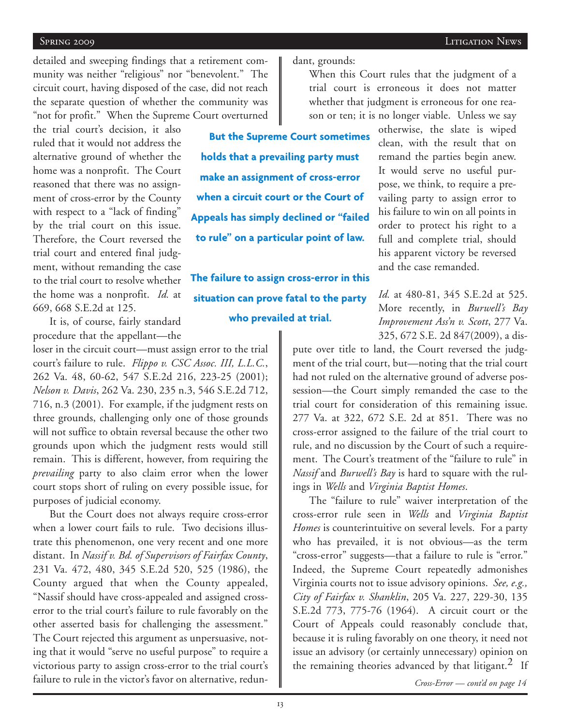#### Spring 2009 Litigation News

detailed and sweeping findings that a retirement community was neither "religious" nor "benevolent." The circuit court, having disposed of the case, did not reach the separate question of whether the community was "not for profit." When the Supreme Court overturned

the trial court's decision, it also ruled that it would not address the alternative ground of whether the home was a nonprofit. The Court reasoned that there was no assignment of cross-error by the County with respect to a "lack of finding" by the trial court on this issue. Therefore, the Court reversed the trial court and entered final judgment, without remanding the case to the trial court to resolve whether the home was a nonprofit. *Id.* at 669, 668 S.E.2d at 125.

**But the Supreme Court sometimes holds that a prevailing party must make an assignment of cross-error when a circuit court or the Court of Appeals has simply declined or "failed to rule" on a particular point of law.**

dant, grounds:

**The failure to assign cross-error in this situation can prove fatal to the party who prevailed at trial.**

It is, of course, fairly standard procedure that the appellant—the

loser in the circuit court—must assign error to the trial court's failure to rule. *Flippo v. CSC Assoc. III, L.L.C.*, 262 Va. 48, 60-62, 547 S.E.2d 216, 223-25 (2001); *Nelson v. Davis*, 262 Va. 230, 235 n.3, 546 S.E.2d 712, 716, n.3 (2001). For example, if the judgment rests on three grounds, challenging only one of those grounds will not suffice to obtain reversal because the other two grounds upon which the judgment rests would still remain. This is different, however, from requiring the *prevailing* party to also claim error when the lower court stops short of ruling on every possible issue, for purposes of judicial economy.

But the Court does not always require cross-error when a lower court fails to rule. Two decisions illustrate this phenomenon, one very recent and one more distant. In *Nassif v. Bd. of Supervisors of Fairfax County*, 231 Va. 472, 480, 345 S.E.2d 520, 525 (1986), the County argued that when the County appealed, "Nassif should have cross-appealed and assigned crosserror to the trial court's failure to rule favorably on the other asserted basis for challenging the assessment." The Court rejected this argument as unpersuasive, noting that it would "serve no useful purpose" to require a victorious party to assign cross-error to the trial court's failure to rule in the victor's favor on alternative, redun-

When this Court rules that the judgment of a trial court is erroneous it does not matter whether that judgment is erroneous for one reason or ten; it is no longer viable. Unless we say

otherwise, the slate is wiped clean, with the result that on remand the parties begin anew. It would serve no useful purpose, we think, to require a prevailing party to assign error to his failure to win on all points in order to protect his right to a full and complete trial, should his apparent victory be reversed and the case remanded.

*Id.* at 480-81, 345 S.E.2d at 525. More recently, in *Burwell's Bay Improvement Ass'n v. Scott*, 277 Va. 325, 672 S.E. 2d 847(2009), a dis-

pute over title to land, the Court reversed the judgment of the trial court, but—noting that the trial court had not ruled on the alternative ground of adverse possession—the Court simply remanded the case to the trial court for consideration of this remaining issue. 277 Va. at 322, 672 S.E. 2d at 851. There was no cross-error assigned to the failure of the trial court to rule, and no discussion by the Court of such a requirement. The Court's treatment of the "failure to rule" in *Nassif* and *Burwell's Bay* is hard to square with the rulings in *Wells* and *Virginia Baptist Homes*.

The "failure to rule" waiver interpretation of the cross-error rule seen in *Wells* and *Virginia Baptist Homes* is counterintuitive on several levels. For a party who has prevailed, it is not obvious—as the term "cross-error" suggests—that a failure to rule is "error." Indeed, the Supreme Court repeatedly admonishes Virginia courts not to issue advisory opinions. *See, e.g., City of Fairfax v. Shanklin*, 205 Va. 227, 229-30, 135 S.E.2d 773, 775-76 (1964). A circuit court or the Court of Appeals could reasonably conclude that, because it is ruling favorably on one theory, it need not issue an advisory (or certainly unnecessary) opinion on the remaining theories advanced by that litigant.<sup>2</sup> If

*Cross-Error — cont'd on page 14*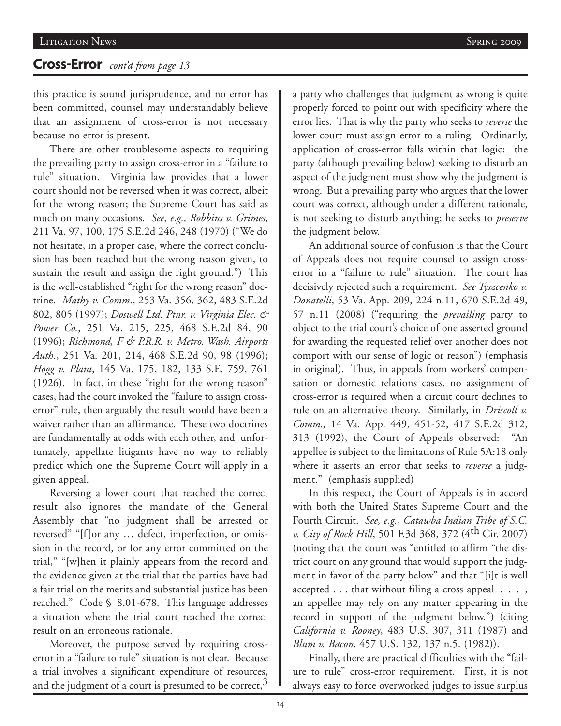# **Cross-Error** *cont'd from page 13*

this practice is sound jurisprudence, and no error has been committed, counsel may understandably believe that an assignment of cross-error is not necessary because no error is present.

There are other troublesome aspects to requiring the prevailing party to assign cross-error in a "failure to rule" situation. Virginia law provides that a lower court should not be reversed when it was correct, albeit for the wrong reason; the Supreme Court has said as much on many occasions. *See, e.g., Robbins v. Grimes*, 211 Va. 97, 100, 175 S.E.2d 246, 248 (1970) ("We do not hesitate, in a proper case, where the correct conclusion has been reached but the wrong reason given, to sustain the result and assign the right ground.") This is the well-established "right for the wrong reason" doctrine. *Mathy v. Comm*., 253 Va. 356, 362, 483 S.E.2d 802, 805 (1997); *Doswell Ltd. Ptnr. v. Virginia Elec. & Power Co.*, 251 Va. 215, 225, 468 S.E.2d 84, 90 (1996); *Richmond, F & P.R.R. v. Metro. Wash. Airports Auth.*, 251 Va. 201, 214, 468 S.E.2d 90, 98 (1996); *Hogg v. Plant*, 145 Va. 175, 182, 133 S.E. 759, 761 (1926). In fact, in these "right for the wrong reason" cases, had the court invoked the "failure to assign crosserror" rule, then arguably the result would have been a waiver rather than an affirmance. These two doctrines are fundamentally at odds with each other, and unfortunately, appellate litigants have no way to reliably predict which one the Supreme Court will apply in a given appeal.

Reversing a lower court that reached the correct result also ignores the mandate of the General Assembly that "no judgment shall be arrested or reversed" "[f]or any … defect, imperfection, or omission in the record, or for any error committed on the trial," "[w]hen it plainly appears from the record and the evidence given at the trial that the parties have had a fair trial on the merits and substantial justice has been reached." Code § 8.01-678. This language addresses a situation where the trial court reached the correct result on an erroneous rationale.

Moreover, the purpose served by requiring crosserror in a "failure to rule" situation is not clear. Because a trial involves a significant expenditure of resources, and the judgment of a court is presumed to be correct, $3$ 

a party who challenges that judgment as wrong is quite properly forced to point out with specificity where the error lies. That is why the party who seeks to *reverse* the lower court must assign error to a ruling. Ordinarily, application of cross-error falls within that logic: the party (although prevailing below) seeking to disturb an aspect of the judgment must show why the judgment is wrong. But a prevailing party who argues that the lower court was correct, although under a different rationale, is not seeking to disturb anything; he seeks to *preserve* the judgment below.

An additional source of confusion is that the Court of Appeals does not require counsel to assign crosserror in a "failure to rule" situation. The court has decisively rejected such a requirement. *See Tyszcenko v. Donatelli*, 53 Va. App. 209, 224 n.11, 670 S.E.2d 49, 57 n.11 (2008) ("requiring the *prevailing* party to object to the trial court's choice of one asserted ground for awarding the requested relief over another does not comport with our sense of logic or reason") (emphasis in original). Thus, in appeals from workers' compensation or domestic relations cases, no assignment of cross-error is required when a circuit court declines to rule on an alternative theory. Similarly, in *Driscoll v. Comm.,* 14 Va. App. 449, 451-52, 417 S.E.2d 312, 313 (1992), the Court of Appeals observed: "An appellee is subject to the limitations of Rule 5A:18 only where it asserts an error that seeks to *reverse* a judgment." (emphasis supplied)

In this respect, the Court of Appeals is in accord with both the United States Supreme Court and the Fourth Circuit. *See, e.g.*, *Catawba Indian Tribe of S.C. v. City of Rock Hill*, 501 F.3d 368, 372 (4th Cir. 2007) (noting that the court was "entitled to affirm "the district court on any ground that would support the judgment in favor of the party below" and that "[i]t is well accepted . . . that without filing a cross-appeal . . . , an appellee may rely on any matter appearing in the record in support of the judgment below.") (citing *California v. Rooney*, 483 U.S. 307, 311 (1987) and *Blum v. Bacon*, 457 U.S. 132, 137 n.5. (1982)).

Finally, there are practical difficulties with the "failure to rule" cross-error requirement. First, it is not always easy to force overworked judges to issue surplus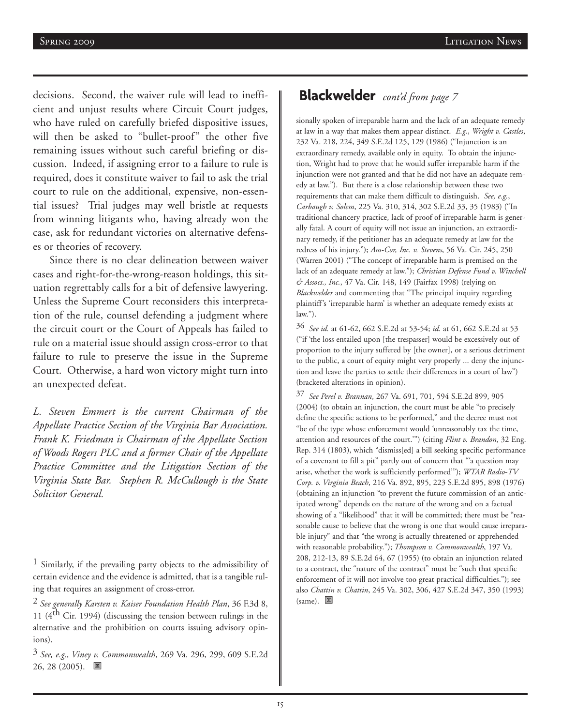decisions. Second, the waiver rule will lead to inefficient and unjust results where Circuit Court judges, who have ruled on carefully briefed dispositive issues, will then be asked to "bullet-proof" the other five remaining issues without such careful briefing or discussion. Indeed, if assigning error to a failure to rule is required, does it constitute waiver to fail to ask the trial court to rule on the additional, expensive, non-essential issues? Trial judges may well bristle at requests from winning litigants who, having already won the case, ask for redundant victories on alternative defenses or theories of recovery.

Since there is no clear delineation between waiver cases and right-for-the-wrong-reason holdings, this situation regrettably calls for a bit of defensive lawyering. Unless the Supreme Court reconsiders this interpretation of the rule, counsel defending a judgment where the circuit court or the Court of Appeals has failed to rule on a material issue should assign cross-error to that failure to rule to preserve the issue in the Supreme Court. Otherwise, a hard won victory might turn into an unexpected defeat.

*L. Steven Emmert is the current Chairman of the Appellate Practice Section of the Virginia Bar Association. Frank K. Friedman is Chairman of the Appellate Section of Woods Rogers PLC and a former Chair of the Appellate Practice Committee and the Litigation Section of the Virginia State Bar. Stephen R. McCullough is the State Solicitor General.* 

# **Blackwelder** *cont'd from page 7*

sionally spoken of irreparable harm and the lack of an adequate remedy at law in a way that makes them appear distinct. *E.g.*, *Wright v. Castles*, 232 Va. 218, 224, 349 S.E.2d 125, 129 (1986) ("Injunction is an extraordinary remedy, available only in equity. To obtain the injunction, Wright had to prove that he would suffer irreparable harm if the injunction were not granted and that he did not have an adequate remedy at law."). But there is a close relationship between these two requirements that can make them difficult to distinguish. *See, e.g.*, *Carbaugh v. Solem*, 225 Va. 310, 314, 302 S.E.2d 33, 35 (1983) ("In traditional chancery practice, lack of proof of irreparable harm is generally fatal. A court of equity will not issue an injunction, an extraordinary remedy, if the petitioner has an adequate remedy at law for the redress of his injury."); *Am-Cor, Inc. v. Stevens*, 56 Va. Cir. 245, 250 (Warren 2001) ("The concept of irreparable harm is premised on the lack of an adequate remedy at law."); *Christian Defense Fund v. Winchell & Assocs., Inc.*, 47 Va. Cir. 148, 149 (Fairfax 1998) (relying on *Blackwelder* and commenting that "The principal inquiry regarding plaintiff's 'irreparable harm' is whether an adequate remedy exists at law.").

36 *See id.* at 61-62, 662 S.E.2d at 53-54; *id.* at 61, 662 S.E.2d at 53 ("if 'the loss entailed upon [the trespasser] would be excessively out of proportion to the injury suffered by [the owner], or a serious detriment to the public, a court of equity might very properly ... deny the injunction and leave the parties to settle their differences in a court of law") (bracketed alterations in opinion).

37 *See Perel v. Brannan*, 267 Va. 691, 701, 594 S.E.2d 899, 905 (2004) (to obtain an injunction, the court must be able "to precisely define the specific actions to be performed," and the decree must not "be of the type whose enforcement would 'unreasonably tax the time, attention and resources of the court.'") (citing *Flint v. Brandon*, 32 Eng. Rep. 314 (1803), which "dismiss[ed] a bill seeking specific performance of a covenant to fill a pit" partly out of concern that "'a question may arise, whether the work is sufficiently performed'"); *WTAR Radio-TV Corp. v. Virginia Beach*, 216 Va. 892, 895, 223 S.E.2d 895, 898 (1976) (obtaining an injunction "to prevent the future commission of an anticipated wrong" depends on the nature of the wrong and on a factual showing of a "likelihood" that it will be committed; there must be "reasonable cause to believe that the wrong is one that would cause irreparable injury" and that "the wrong is actually threatened or apprehended with reasonable probability."); *Thompson v. Commonwealth*, 197 Va. 208, 212-13, 89 S.E.2d 64, 67 (1955) (to obtain an injunction related to a contract, the "nature of the contract" must be "such that specific enforcement of it will not involve too great practical difficulties."); see also *Chattin v. Chattin*, 245 Va. 302, 306, 427 S.E.2d 347, 350 (1993)  $(same)$ .  $\blacksquare$ 

<sup>&</sup>lt;sup>1</sup> Similarly, if the prevailing party objects to the admissibility of certain evidence and the evidence is admitted, that is a tangible ruling that requires an assignment of cross-error.

<sup>2</sup> *See generally Karsten v. Kaiser Foundation Health Plan*, 36 F.3d 8, 11 ( $4<sup>th</sup>$  Cir. 1994) (discussing the tension between rulings in the alternative and the prohibition on courts issuing advisory opinions).

<sup>3</sup> *See, e.g., Viney v. Commonwealth*, 269 Va. 296, 299, 609 S.E.2d  $26, 28$  (2005).  $\blacksquare$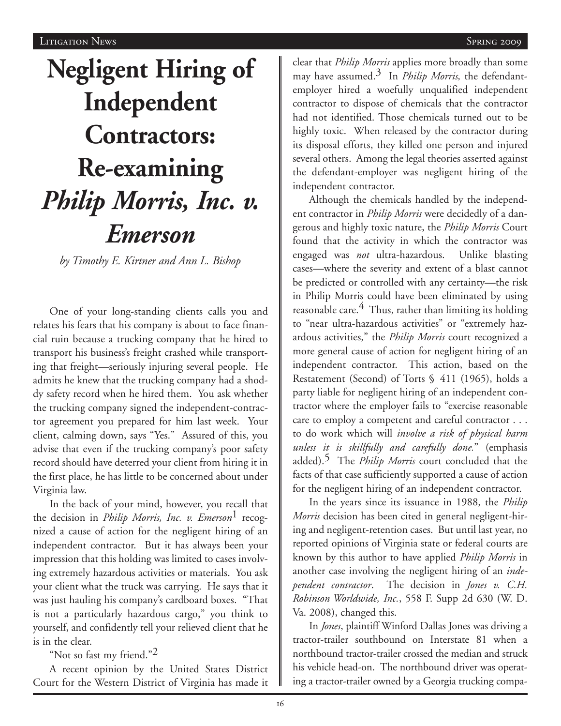# **Negligent Hiring of Independent Contractors: Re-examining** *Philip Morris, Inc. v. Emerson*

*by Timothy E. Kirtner and Ann L. Bishop*

One of your long-standing clients calls you and relates his fears that his company is about to face financial ruin because a trucking company that he hired to transport his business's freight crashed while transporting that freight—seriously injuring several people. He admits he knew that the trucking company had a shoddy safety record when he hired them. You ask whether the trucking company signed the independent-contractor agreement you prepared for him last week. Your client, calming down, says "Yes." Assured of this, you advise that even if the trucking company's poor safety record should have deterred your client from hiring it in the first place, he has little to be concerned about under Virginia law.

In the back of your mind, however, you recall that the decision in *Philip Morris, Inc. v. Emerson*<sup>1</sup> recognized a cause of action for the negligent hiring of an independent contractor. But it has always been your impression that this holding was limited to cases involving extremely hazardous activities or materials. You ask your client what the truck was carrying. He says that it was just hauling his company's cardboard boxes. "That is not a particularly hazardous cargo," you think to yourself, and confidently tell your relieved client that he is in the clear.

"Not so fast my friend."<sup>2</sup>

A recent opinion by the United States District Court for the Western District of Virginia has made it clear that *Philip Morris* applies more broadly than some may have assumed.3 In *Philip Morris,* the defendantemployer hired a woefully unqualified independent contractor to dispose of chemicals that the contractor had not identified. Those chemicals turned out to be highly toxic. When released by the contractor during its disposal efforts, they killed one person and injured several others. Among the legal theories asserted against the defendant-employer was negligent hiring of the independent contractor.

Although the chemicals handled by the independent contractor in *Philip Morris* were decidedly of a dangerous and highly toxic nature, the *Philip Morris* Court found that the activity in which the contractor was engaged was *not* ultra-hazardous. Unlike blasting cases—where the severity and extent of a blast cannot be predicted or controlled with any certainty—the risk in Philip Morris could have been eliminated by using reasonable care. $4$  Thus, rather than limiting its holding to "near ultra-hazardous activities" or "extremely hazardous activities," the *Philip Morris* court recognized a more general cause of action for negligent hiring of an independent contractor. This action, based on the Restatement (Second) of Torts § 411 (1965), holds a party liable for negligent hiring of an independent contractor where the employer fails to "exercise reasonable care to employ a competent and careful contractor . . . to do work which will *involve a risk of physical harm unless it is skillfully and carefully done.*" (emphasis added).5 The *Philip Morris* court concluded that the facts of that case sufficiently supported a cause of action for the negligent hiring of an independent contractor.

In the years since its issuance in 1988, the *Philip Morris* decision has been cited in general negligent-hiring and negligent-retention cases. But until last year, no reported opinions of Virginia state or federal courts are known by this author to have applied *Philip Morris* in another case involving the negligent hiring of an *independent contractor*. The decision in *Jones v. C.H. Robinson Worldwide, Inc.*, 558 F. Supp 2d 630 (W. D. Va. 2008), changed this.

In *Jones*, plaintiff Winford Dallas Jones was driving a tractor-trailer southbound on Interstate 81 when a northbound tractor-trailer crossed the median and struck his vehicle head-on. The northbound driver was operating a tractor-trailer owned by a Georgia trucking compa-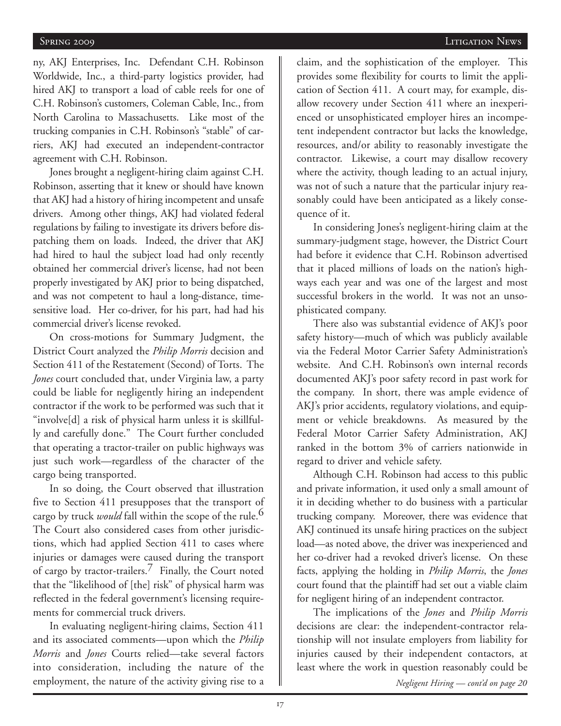#### Spring 2009 Litigation News

ny, AKJ Enterprises, Inc. Defendant C.H. Robinson Worldwide, Inc., a third-party logistics provider, had hired AKJ to transport a load of cable reels for one of C.H. Robinson's customers, Coleman Cable, Inc., from North Carolina to Massachusetts. Like most of the trucking companies in C.H. Robinson's "stable" of carriers, AKJ had executed an independent-contractor agreement with C.H. Robinson.

Jones brought a negligent-hiring claim against C.H. Robinson, asserting that it knew or should have known that AKJ had a history of hiring incompetent and unsafe drivers. Among other things, AKJ had violated federal regulations by failing to investigate its drivers before dispatching them on loads. Indeed, the driver that AKJ had hired to haul the subject load had only recently obtained her commercial driver's license, had not been properly investigated by AKJ prior to being dispatched, and was not competent to haul a long-distance, timesensitive load. Her co-driver, for his part, had had his commercial driver's license revoked.

On cross-motions for Summary Judgment, the District Court analyzed the *Philip Morris* decision and Section 411 of the Restatement (Second) of Torts. The *Jones* court concluded that, under Virginia law, a party could be liable for negligently hiring an independent contractor if the work to be performed was such that it "involve[d] a risk of physical harm unless it is skillfully and carefully done." The Court further concluded that operating a tractor-trailer on public highways was just such work—regardless of the character of the cargo being transported.

In so doing, the Court observed that illustration five to Section 411 presupposes that the transport of cargo by truck *would* fall within the scope of the rule.<sup>6</sup> The Court also considered cases from other jurisdictions, which had applied Section 411 to cases where injuries or damages were caused during the transport of cargo by tractor-trailers.7 Finally, the Court noted that the "likelihood of [the] risk" of physical harm was reflected in the federal government's licensing requirements for commercial truck drivers.

In evaluating negligent-hiring claims, Section 411 and its associated comments—upon which the *Philip Morris* and *Jones* Courts relied—take several factors into consideration, including the nature of the employment, the nature of the activity giving rise to a claim, and the sophistication of the employer. This provides some flexibility for courts to limit the application of Section 411. A court may, for example, disallow recovery under Section 411 where an inexperienced or unsophisticated employer hires an incompetent independent contractor but lacks the knowledge, resources, and/or ability to reasonably investigate the contractor. Likewise, a court may disallow recovery where the activity, though leading to an actual injury, was not of such a nature that the particular injury reasonably could have been anticipated as a likely consequence of it.

In considering Jones's negligent-hiring claim at the summary-judgment stage, however, the District Court had before it evidence that C.H. Robinson advertised that it placed millions of loads on the nation's highways each year and was one of the largest and most successful brokers in the world. It was not an unsophisticated company.

There also was substantial evidence of AKJ's poor safety history—much of which was publicly available via the Federal Motor Carrier Safety Administration's website. And C.H. Robinson's own internal records documented AKJ's poor safety record in past work for the company. In short, there was ample evidence of AKJ's prior accidents, regulatory violations, and equipment or vehicle breakdowns. As measured by the Federal Motor Carrier Safety Administration, AKJ ranked in the bottom 3% of carriers nationwide in regard to driver and vehicle safety.

Although C.H. Robinson had access to this public and private information, it used only a small amount of it in deciding whether to do business with a particular trucking company. Moreover, there was evidence that AKJ continued its unsafe hiring practices on the subject load—as noted above, the driver was inexperienced and her co-driver had a revoked driver's license. On these facts, applying the holding in *Philip Morris*, the *Jones* court found that the plaintiff had set out a viable claim for negligent hiring of an independent contractor.

The implications of the *Jones* and *Philip Morris* decisions are clear: the independent-contractor relationship will not insulate employers from liability for injuries caused by their independent contactors, at least where the work in question reasonably could be *Negligent Hiring — cont'd on page 20*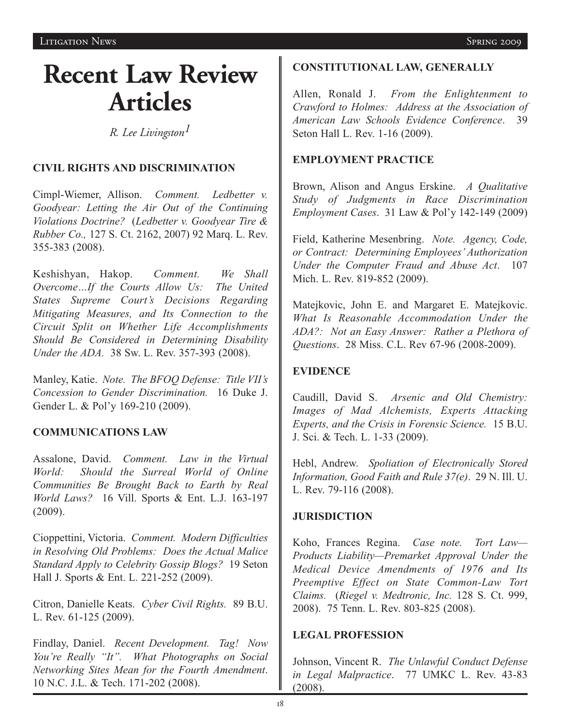# **Recent Law Review Articles**

*R. Lee Livingston1*

### **CIVIL RIGHTS AND DISCRIMINATION**

Cimpl-Wiemer, Allison. *Comment. Ledbetter v. Goodyear: Letting the Air Out of the Continuing Violations Doctrine?* (*Ledbetter v. Goodyear Tire & Rubber Co.,* 127 S. Ct. 2162, 2007) 92 Marq. L. Rev. 355-383 (2008).

Keshishyan, Hakop. *Comment. We Shall Overcome…If the Courts Allow Us: The United States Supreme Court's Decisions Regarding Mitigating Measures, and Its Connection to the Circuit Split on Whether Life Accomplishments Should Be Considered in Determining Disability Under the ADA.* 38 Sw. L. Rev. 357-393 (2008).

Manley, Katie. *Note. The BFOQ Defense: Title VII's Concession to Gender Discrimination.* 16 Duke J. Gender L. & Pol'y 169-210 (2009).

### **COMMUNICATIONS LAW**

Assalone, David. *Comment. Law in the Virtual World: Should the Surreal World of Online Communities Be Brought Back to Earth by Real World Laws?* 16 Vill. Sports & Ent. L.J. 163-197 (2009).

Cioppettini, Victoria. *Comment. Modern Difficulties in Resolving Old Problems: Does the Actual Malice Standard Apply to Celebrity Gossip Blogs?* 19 Seton Hall J. Sports & Ent. L. 221-252 (2009).

Citron, Danielle Keats. *Cyber Civil Rights.* 89 B.U. L. Rev. 61-125 (2009).

Findlay, Daniel. *Recent Development. Tag! Now You're Really "It". What Photographs on Social Networking Sites Mean for the Fourth Amendment*. 10 N.C. J.L. & Tech. 171-202 (2008).

### **CONSTITUTIONAL LAW, GENERALLY**

Allen, Ronald J. *From the Enlightenment to Crawford to Holmes: Address at the Association of American Law Schools Evidence Conference*. 39 Seton Hall L. Rev. 1-16 (2009).

#### **EMPLOYMENT PRACTICE**

Brown, Alison and Angus Erskine. *A Qualitative Study of Judgments in Race Discrimination Employment Cases*. 31 Law & Pol'y 142-149 (2009)

Field, Katherine Mesenbring. *Note. Agency, Code, or Contract: Determining Employees' Authorization Under the Computer Fraud and Abuse Act*. 107 Mich. L. Rev. 819-852 (2009).

Matejkovic, John E. and Margaret E. Matejkovic. *What Is Reasonable Accommodation Under the ADA?: Not an Easy Answer: Rather a Plethora of Questions*. 28 Miss. C.L. Rev 67-96 (2008-2009).

### **EVIDENCE**

Caudill, David S. *Arsenic and Old Chemistry: Images of Mad Alchemists, Experts Attacking Experts, and the Crisis in Forensic Science.* 15 B.U. J. Sci. & Tech. L. 1-33 (2009).

Hebl, Andrew. *Spoliation of Electronically Stored Information, Good Faith and Rule 37(e)*. 29 N. Ill. U. L. Rev. 79-116 (2008).

### **JURISDICTION**

Koho, Frances Regina. *Case note. Tort Law— Products Liability—Premarket Approval Under the Medical Device Amendments of 1976 and Its Preemptive Effect on State Common-Law Tort Claims.* (*Riegel v. Medtronic, Inc.* 128 S. Ct. 999, 2008). 75 Tenn. L. Rev. 803-825 (2008).

#### **LEGAL PROFESSION**

Johnson, Vincent R. *The Unlawful Conduct Defense in Legal Malpractice*. 77 UMKC L. Rev. 43-83 (2008).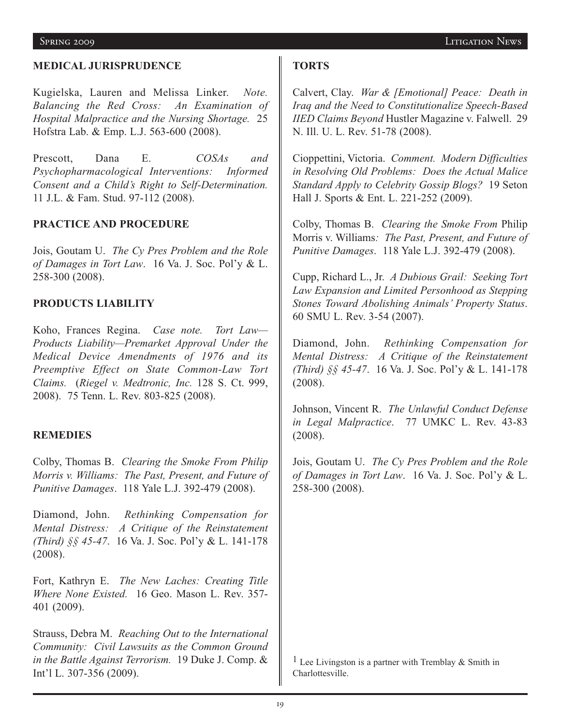#### **MEDICAL JURISPRUDENCE**

Kugielska, Lauren and Melissa Linker. *Note. Balancing the Red Cross: An Examination of Hospital Malpractice and the Nursing Shortage.* 25 Hofstra Lab. & Emp. L.J. 563-600 (2008).

Prescott, Dana E. *COSAs and Psychopharmacological Interventions: Informed Consent and a Child's Right to Self-Determination.* 11 J.L. & Fam. Stud. 97-112 (2008).

#### **PRACTICE AND PROCEDURE**

Jois, Goutam U. *The Cy Pres Problem and the Role of Damages in Tort Law*. 16 Va. J. Soc. Pol'y & L. 258-300 (2008).

#### **PRODUCTS LIABILITY**

Koho, Frances Regina. *Case note. Tort Law— Products Liability—Premarket Approval Under the Medical Device Amendments of 1976 and its Preemptive Effect on State Common-Law Tort Claims.* (*Riegel v. Medtronic, Inc.* 128 S. Ct. 999, 2008). 75 Tenn. L. Rev. 803-825 (2008).

#### **REMEDIES**

Colby, Thomas B. *Clearing the Smoke From Philip Morris v. Williams: The Past, Present, and Future of Punitive Damages*. 118 Yale L.J. 392-479 (2008).

Diamond, John. *Rethinking Compensation for Mental Distress: A Critique of the Reinstatement (Third) §§ 45-47*. 16 Va. J. Soc. Pol'y & L. 141-178 (2008).

Fort, Kathryn E. *The New Laches: Creating Title Where None Existed.* 16 Geo. Mason L. Rev. 357- 401 (2009).

Strauss, Debra M. *Reaching Out to the International Community: Civil Lawsuits as the Common Ground in the Battle Against Terrorism.* 19 Duke J. Comp. & Int'l L. 307-356 (2009).

#### **TORTS**

Calvert, Clay. *War & [Emotional] Peace: Death in Iraq and the Need to Constitutionalize Speech-Based IIED Claims Beyond* Hustler Magazine v. Falwell. 29 N. Ill. U. L. Rev. 51-78 (2008).

Cioppettini, Victoria. *Comment. Modern Difficulties in Resolving Old Problems: Does the Actual Malice Standard Apply to Celebrity Gossip Blogs?* 19 Seton Hall J. Sports & Ent. L. 221-252 (2009).

Colby, Thomas B. *Clearing the Smoke From* Philip Morris v. Williams*: The Past, Present, and Future of Punitive Damages*. 118 Yale L.J. 392-479 (2008).

Cupp, Richard L., Jr. *A Dubious Grail: Seeking Tort Law Expansion and Limited Personhood as Stepping Stones Toward Abolishing Animals' Property Status*. 60 SMU L. Rev. 3-54 (2007).

Diamond, John. *Rethinking Compensation for Mental Distress: A Critique of the Reinstatement (Third) §§ 45-47*. 16 Va. J. Soc. Pol'y & L. 141-178 (2008).

Johnson, Vincent R. *The Unlawful Conduct Defense in Legal Malpractice*. 77 UMKC L. Rev. 43-83 (2008).

Jois, Goutam U. *The Cy Pres Problem and the Role of Damages in Tort Law*. 16 Va. J. Soc. Pol'y & L. 258-300 (2008).

<sup>1</sup> Lee Livingston is a partner with Tremblay  $\&$  Smith in Charlottesville.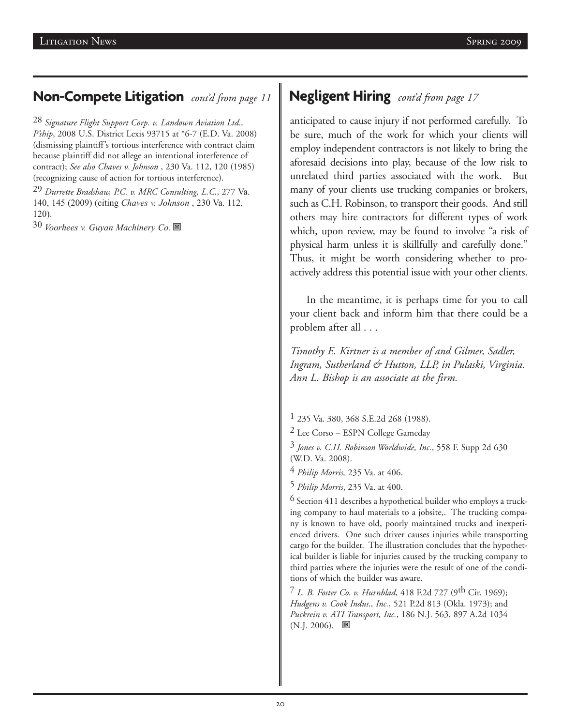# **Non-Compete Litigation** *cont'd from page 11*

28 *Signature Flight Support Corp. v. Landown Aviation Ltd., P'ship*, 2008 U.S. District Lexis 93715 at \*6-7 (E.D. Va. 2008) (dismissing plaintiff's tortious interference with contract claim because plaintiff did not allege an intentional interference of contract); *See also Chaves v. Johnson* , 230 Va. 112, 120 (1985) (recognizing cause of action for tortious interference).

29 *Durrette Bradshaw, P.C. v. MRC Consulting, L.C.*, 277 Va. 140, 145 (2009) (citing *Chaves v. Johnson* , 230 Va. 112, 120).

30 *Voorhees v. Guyan Machinery Co.* 图

# **Negligent Hiring** *cont'd from page 17*

anticipated to cause injury if not performed carefully. To be sure, much of the work for which your clients will employ independent contractors is not likely to bring the aforesaid decisions into play, because of the low risk to unrelated third parties associated with the work. But many of your clients use trucking companies or brokers, such as C.H. Robinson, to transport their goods. And still others may hire contractors for different types of work which, upon review, may be found to involve "a risk of physical harm unless it is skillfully and carefully done." Thus, it might be worth considering whether to proactively address this potential issue with your other clients.

In the meantime, it is perhaps time for you to call your client back and inform him that there could be a problem after all . . .

*Timothy E. Kirtner is a member of and Gilmer, Sadler, Ingram, Sutherland & Hutton, LLP, in Pulaski, Virginia. Ann L. Bishop is an associate at the firm.*

1 235 Va. 380, 368 S.E.2d 268 (1988).

2 Lee Corso – ESPN College Gameday

3 *Jones v. C.H. Robinson Worldwide, Inc.*, 558 F. Supp 2d 630 (W.D. Va. 2008).

4 *Philip Morris,* 235 Va. at 406.

5 *Philip Morris*, 235 Va. at 400.

6 Section 411 describes a hypothetical builder who employs a trucking company to haul materials to a jobsite,. The trucking company is known to have old, poorly maintained trucks and inexperienced drivers. One such driver causes injuries while transporting cargo for the builder. The illustration concludes that the hypothetical builder is liable for injuries caused by the trucking company to third parties where the injuries were the result of one of the conditions of which the builder was aware.

7 *L. B. Foster Co. v. Hurnblad*, 418 F.2d 727 (9th Cir. 1969); *Hudgens v. Cook Indus., Inc.*, 521 P.2d 813 (Okla. 1973); and *Puckrein v. ATI Transport, Inc.*, 186 N.J. 563, 897 A.2d 1034  $(N.J. 2006)$ .  $\blacksquare$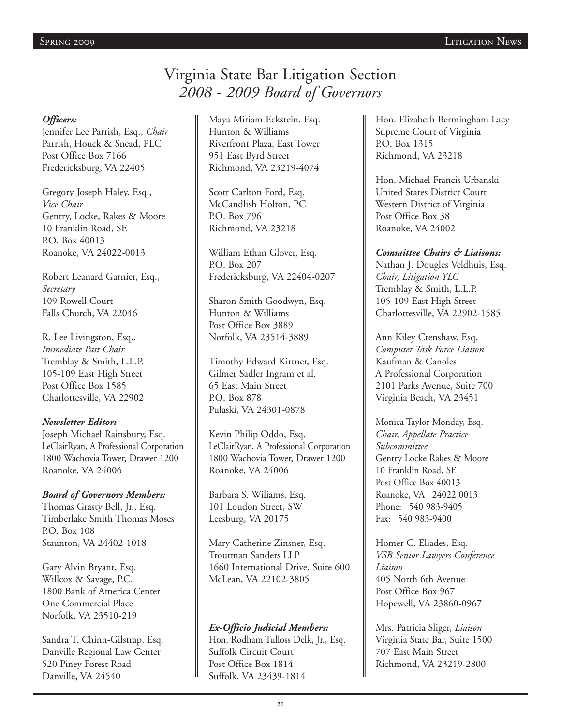# Virginia State Bar Litigation Section *2008 - 2009 Board of Governors*

#### *Officers:*

Jennifer Lee Parrish, Esq., *Chair* Parrish, Houck & Snead, PLC Post Office Box 7166 Fredericksburg, VA 22405

Gregory Joseph Haley, Esq., *Vice Chair* Gentry, Locke, Rakes & Moore 10 Franklin Road, SE P.O. Box 40013 Roanoke, VA 24022-0013

Robert Leanard Garnier, Esq., *Secretary* 109 Rowell Court Falls Church, VA 22046

R. Lee Livingston, Esq., *Immediate Past Chair* Tremblay & Smith, L.L.P. 105-109 East High Street Post Office Box 1585 Charlottesville, VA 22902

#### *Newsletter Editor:*

Joseph Michael Rainsbury, Esq. LeClairRyan, A Professional Corporation 1800 Wachovia Tower, Drawer 1200 Roanoke, VA 24006

#### *Board of Governors Members:*

Thomas Grasty Bell, Jr., Esq. Timberlake Smith Thomas Moses P.O. Box 108 Staunton, VA 24402-1018

Gary Alvin Bryant, Esq. Willcox & Savage, P.C. 1800 Bank of America Center One Commercial Place Norfolk, VA 23510-219

Sandra T. Chinn-Gilstrap, Esq. Danville Regional Law Center 520 Piney Forest Road Danville, VA 24540

Maya Miriam Eckstein, Esq. Hunton & Williams Riverfront Plaza, East Tower 951 East Byrd Street Richmond, VA 23219-4074

Scott Carlton Ford, Esq. McCandlish Holton, PC P.O. Box 796 Richmond, VA 23218

William Ethan Glover, Esq. P.O. Box 207 Fredericksburg, VA 22404-0207

Sharon Smith Goodwyn, Esq. Hunton & Williams Post Office Box 3889 Norfolk, VA 23514-3889

Timothy Edward Kirtner, Esq. Gilmer Sadler Ingram et al. 65 East Main Street P.O. Box 878 Pulaski, VA 24301-0878

Kevin Philip Oddo, Esq. LeClairRyan, A Professional Corporation 1800 Wachovia Tower, Drawer 1200 Roanoke, VA 24006

Barbara S. Wiliams, Esq. 101 Loudon Street, SW Leesburg, VA 20175

Mary Catherine Zinsner, Esq. Troutman Sanders LLP 1660 International Drive, Suite 600 McLean, VA 22102-3805

*Ex-Officio Judicial Members:* Hon. Rodham Tulloss Delk, Jr., Esq. Suffolk Circuit Court Post Office Box 1814 Suffolk, VA 23439-1814

Hon. Elizabeth Bermingham Lacy Supreme Court of Virginia P.O. Box 1315 Richmond, VA 23218

Hon. Michael Francis Urbanski United States District Court Western District of Virginia Post Office Box 38 Roanoke, VA 24002

*Committee Chairs & Liaisons:* Nathan J. Dougles Veldhuis, Esq. *Chair, Litigation YLC* Tremblay & Smith, L.L.P. 105-109 East High Street Charlottesville, VA 22902-1585

Ann Kiley Crenshaw, Esq. *Computer Task Force Liaison* Kaufman & Canoles A Professional Corporation 2101 Parks Avenue, Suite 700 Virginia Beach, VA 23451

Monica Taylor Monday, Esq. *Chair, Appellate Practice Subcommittee* Gentry Locke Rakes & Moore 10 Franklin Road, SE Post Office Box 40013 Roanoke, VA 24022 0013 Phone: 540 983-9405 Fax: 540 983-9400

Homer C. Eliades, Esq. *VSB Senior Lawyers Conference Liaison* 405 North 6th Avenue Post Office Box 967 Hopewell, VA 23860-0967

Mrs. Patricia Sliger, *Liaison* Virginia State Bar, Suite 1500 707 East Main Street Richmond, VA 23219-2800